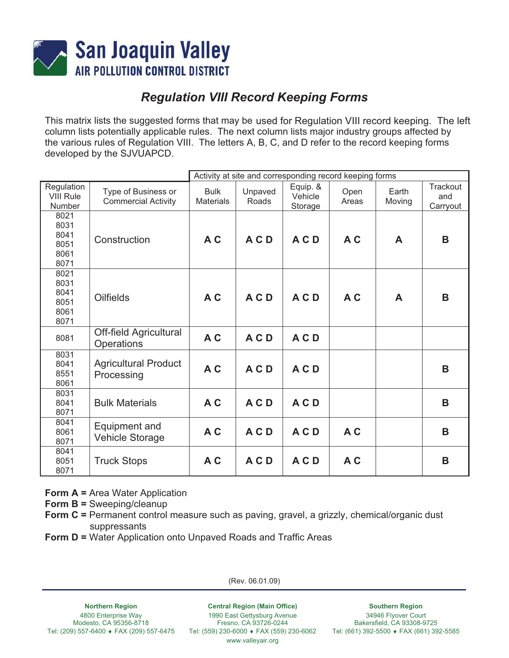

# *Regulation VIII Record Keeping Forms*

This matrix lists the suggested forms that may be used for Regulation VIII record keeping. The left column lists potentially applicable rules. The next column lists major industry groups affected by the various rules of Regulation VIII. The letters A, B, C, and D refer to the record keeping forms developed by the SJVUAPCD.

|                                              |                                                   |                                 | Activity at site and corresponding record keeping forms |                                |               |                 |                             |
|----------------------------------------------|---------------------------------------------------|---------------------------------|---------------------------------------------------------|--------------------------------|---------------|-----------------|-----------------------------|
| Regulation<br><b>VIII Rule</b><br>Number     | Type of Business or<br><b>Commercial Activity</b> | <b>Bulk</b><br><b>Materials</b> | Unpaved<br>Roads                                        | Equip. &<br>Vehicle<br>Storage | Open<br>Areas | Earth<br>Moving | Trackout<br>and<br>Carryout |
| 8021<br>8031<br>8041<br>8051<br>8061<br>8071 | Construction                                      | A C                             | ACD                                                     | ACD                            | A C           | A               | B                           |
| 8021<br>8031<br>8041<br>8051<br>8061<br>8071 | <b>Oilfields</b>                                  | A C                             | ACD                                                     | ACD                            | A C           | A               | B                           |
| 8081                                         | <b>Off-field Agricultural</b><br>Operations       | A C                             | ACD                                                     | ACD                            |               |                 |                             |
| 8031<br>8041<br>8551<br>8061                 | <b>Agricultural Product</b><br>Processing         | AC                              | ACD                                                     | ACD                            |               |                 | B                           |
| 8031<br>8041<br>8071                         | <b>Bulk Materials</b>                             | A C                             | ACD                                                     | ACD                            |               |                 | B                           |
| 8041<br>8061<br>8071                         | Equipment and<br><b>Vehicle Storage</b>           | A C                             | ACD                                                     | ACD                            | A C           |                 | B                           |
| 8041<br>8051<br>8071                         | <b>Truck Stops</b>                                | A C                             | ACD                                                     | ACD                            | A C           |                 | B                           |

**Form A = Area Water Application** 

**Form B =** Sweeping/cleanup

**Form C =** Permanent control measure such as paving, gravel, a grizzly, chemical/organic dust suppressants

**Form D =** Water Application onto Unpaved Roads and Traffic Areas

(Rev. 06.01.09)

**Northern Region**  4800 Enterprise Way Modesto, CA 95356-8718 Tel: (209) 557-6400 ♦ FAX (209) 557-6475 Tel: (559) 230-6000 ♦ FAX (559) 230-6062

**Central Region (Main Office)**  1990 East Gettysburg Avenue Fresno, CA 93726-0244 www.valleyair.org

**Southern Region** 

34946 Flyover Court Bakersfield, CA 93308-9725 Tel: (661) 392-5500 ♦ FAX (661) 392-5585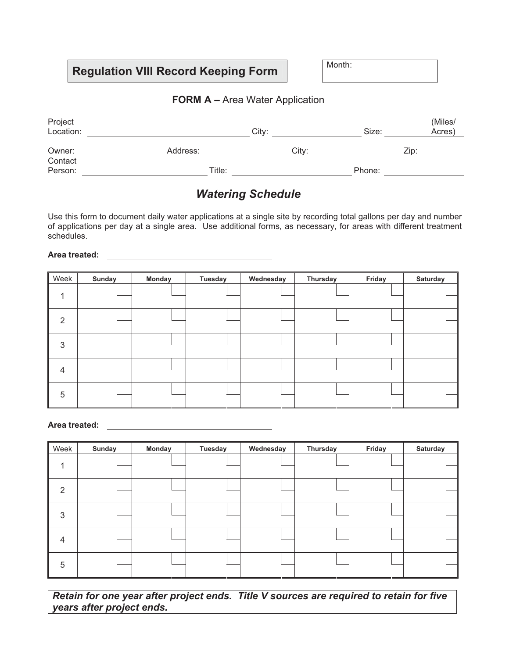#### **FORM A – Area Water Application**

| Project<br>Location: |          | City: | Size:  | (Miles/<br>Acres) |
|----------------------|----------|-------|--------|-------------------|
| Owner:               | Address: | City: |        | Zip:              |
| Contact<br>Person:   | Title:   |       | Phone: |                   |

### *Watering Schedule*

Use this form to document daily water applications at a single site by recording total gallons per day and number of applications per day at a single area. Use additional forms, as necessary, for areas with different treatment schedules.

#### **Area treated:**

| Week           | Sunday | <b>Monday</b> | <b>Tuesday</b> | Wednesday | Thursday | Friday | Saturday |
|----------------|--------|---------------|----------------|-----------|----------|--------|----------|
|                |        |               |                |           |          |        |          |
| - 2            |        |               |                |           |          |        |          |
| 3              |        |               |                |           |          |        |          |
| $\overline{4}$ |        |               |                |           |          |        |          |
| 5              |        |               |                |           |          |        |          |

#### **Area treated:**

| Week           | <b>Sunday</b> | <b>Monday</b> | <b>Tuesday</b> | Wednesday | Thursday | Friday | <b>Saturday</b> |
|----------------|---------------|---------------|----------------|-----------|----------|--------|-----------------|
|                |               |               |                |           |          |        |                 |
| 2              |               |               |                |           |          |        |                 |
| 3              |               |               |                |           |          |        |                 |
| $\overline{4}$ |               |               |                |           |          |        |                 |
| 5              |               |               |                |           |          |        |                 |

*Retain for one year after project ends. Title V sources are required to retain for five years after project ends.*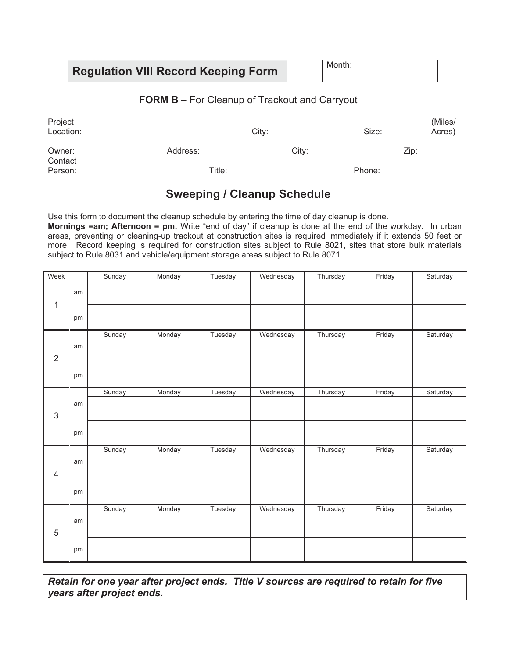### **FORM B –** For Cleanup of Trackout and Carryout

| Project<br>Location: |          | City: | Size:  | (Miles/<br>Acres) |
|----------------------|----------|-------|--------|-------------------|
| Owner:               | Address: | City: |        | Zip:              |
| Contact<br>Person:   | Title:   |       | Phone: |                   |

## **Sweeping / Cleanup Schedule**

Use this form to document the cleanup schedule by entering the time of day cleanup is done. **Mornings =am; Afternoon = pm.** Write "end of day" if cleanup is done at the end of the workday. In urban areas, preventing or cleaning-up trackout at construction sites is required immediately if it extends 50 feet or more. Record keeping is required for construction sites subject to Rule 8021, sites that store bulk materials subject to Rule 8031 and vehicle/equipment storage areas subject to Rule 8071.

| Week           |    | Sunday | Monday | Tuesday | Wednesday | Thursday | Friday | Saturday |
|----------------|----|--------|--------|---------|-----------|----------|--------|----------|
| 1              | am |        |        |         |           |          |        |          |
|                | pm |        |        |         |           |          |        |          |
|                |    | Sunday | Monday | Tuesday | Wednesday | Thursday | Friday | Saturday |
| $\overline{2}$ | am |        |        |         |           |          |        |          |
|                | pm |        |        |         |           |          |        |          |
|                |    | Sunday | Monday | Tuesday | Wednesday | Thursday | Friday | Saturday |
| $\mathfrak{S}$ | am |        |        |         |           |          |        |          |
|                | pm |        |        |         |           |          |        |          |
|                |    | Sunday | Monday | Tuesday | Wednesday | Thursday | Friday | Saturday |
| $\overline{4}$ | am |        |        |         |           |          |        |          |
|                | pm |        |        |         |           |          |        |          |
|                |    | Sunday | Monday | Tuesday | Wednesday | Thursday | Friday | Saturday |
| $\overline{5}$ | am |        |        |         |           |          |        |          |
|                | pm |        |        |         |           |          |        |          |

*Retain for one year after project ends. Title V sources are required to retain for five years after project ends.*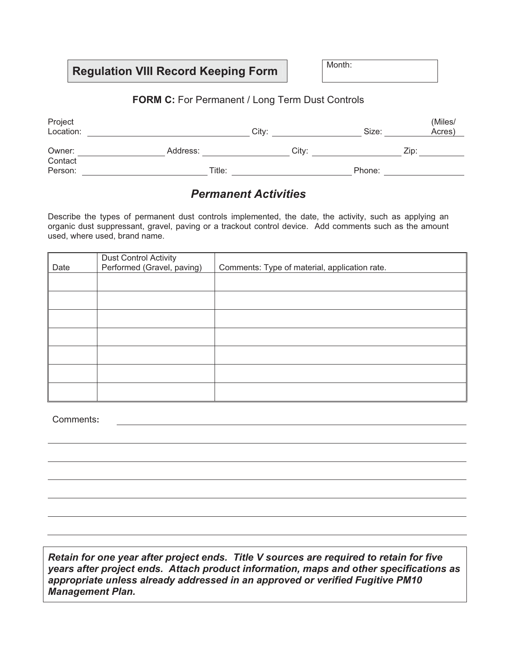### **FORM C:** For Permanent / Long Term Dust Controls

| Project<br>Location: |          | City: | Size:  | (Miles/<br>Acres) |
|----------------------|----------|-------|--------|-------------------|
| Owner:               | Address: | City: |        | Zip:              |
| Contact<br>Person:   | Title:   |       | Phone: |                   |

### *Permanent Activities*

Describe the types of permanent dust controls implemented, the date, the activity, such as applying an organic dust suppressant, gravel, paving or a trackout control device. Add comments such as the amount used, where used, brand name.

| Date | <b>Dust Control Activity</b><br>Performed (Gravel, paving) | Comments: Type of material, application rate. |
|------|------------------------------------------------------------|-----------------------------------------------|
|      |                                                            |                                               |
|      |                                                            |                                               |
|      |                                                            |                                               |
|      |                                                            |                                               |
|      |                                                            |                                               |
|      |                                                            |                                               |
|      |                                                            |                                               |

Comments**:**

*Retain for one year after project ends. Title V sources are required to retain for five years after project ends. Attach product information, maps and other specifications as appropriate unless already addressed in an approved or verified Fugitive PM10 Management Plan.*